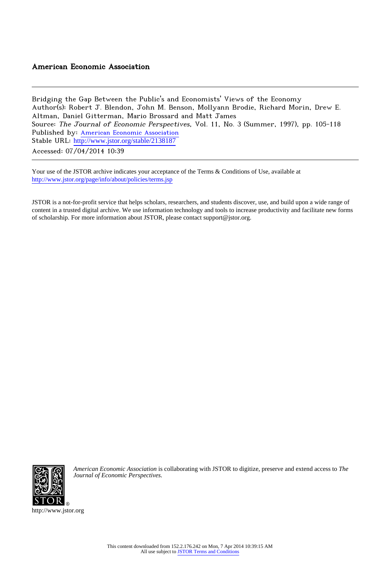## American Economic Association

Bridging the Gap Between the Public's and Economists' Views of the Economy Author(s): Robert J. Blendon, John M. Benson, Mollyann Brodie, Richard Morin, Drew E. Altman, Daniel Gitterman, Mario Brossard and Matt James Source: The Journal of Economic Perspectives, Vol. 11, No. 3 (Summer, 1997), pp. 105-118 Published by: [American Economic Association](http://www.jstor.org/action/showPublisher?publisherCode=aea) Stable URL: [http://www.jstor.org/stable/2138187](http://www.jstor.org/stable/2138187?origin=JSTOR-pdf) Accessed: 07/04/2014 10:39

Your use of the JSTOR archive indicates your acceptance of the Terms & Conditions of Use, available at <http://www.jstor.org/page/info/about/policies/terms.jsp>

JSTOR is a not-for-profit service that helps scholars, researchers, and students discover, use, and build upon a wide range of content in a trusted digital archive. We use information technology and tools to increase productivity and facilitate new forms of scholarship. For more information about JSTOR, please contact support@jstor.org.



*American Economic Association* is collaborating with JSTOR to digitize, preserve and extend access to *The Journal of Economic Perspectives.*

http://www.jstor.org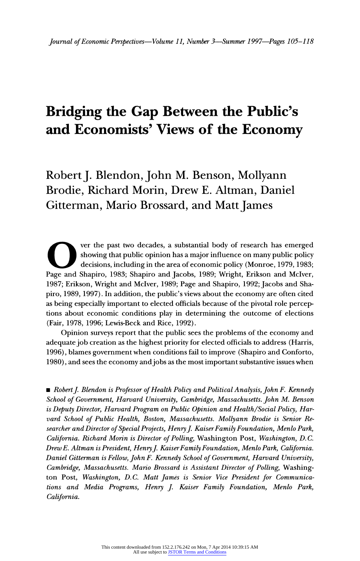# **Bridging the Gap Between the Public's and Economists' Views of the Economy**

Robert J. Blendon, John M. Benson, Mollyann **Brodie, Richard Morin, Drew E. Altman, Daniel Gitterman, Mario Brossard, and Matt James** 

**<sup>O</sup>ver the past two decades, a substantial body of research has emerged showing that public opinion has a major influence on many public policy decisions, including in the area of economic policy (Monroe, 1979, 1983; Page and Shapiro, 1983; Shapiro and Jacobs, 1989; Wright, Erikson and McIver, 1987; Erikson, Wright and McIver, 1989; Page and Shapiro, 1992; Jacobs and Shapiro, 1989, 1997). In addition, the public's views about the economy are often cited as being especially important to elected officials because of the pivotal role perceptions about economic conditions play in determining the outcome of elections (Fair, 1978, 1996; Lewis-Beck and Rice, 1992).** 

**Opinion surveys report that the public sees the problems of the economy and adequate job creation as the highest priority for elected officials to address (Harris, 1996), blames government when conditions fail to improve (Shapiro and Conforto, 1980), and sees the economy and jobs as the most important substantive issues when** 

**\*** Robert J. Blendon is Professor of Health Policy and Political Analysis, John F. Kennedy **School of Government, Harvard University, Cambridge, Massachusetts. John M. Benson is Deputy Director, Harvard Program on Public Opinion and Health/Social Policy, Harvard School of Public Health, Boston, Massachusetts. Mollyann Brodie is Senior Researcher and Director of Special Projects, HenryJ. KaiserFamily Foundation, Menlo Park, California. Richard Morin is Director of Polling, Washington Post, Washington, D. C. Drew E. Altman is President, Heniyj. KaiserFamily Foundation, Menlo Park, California. Daniel Gitterman is Fellow, John F. Kennedy School of Government, Harvard University, Cambridge, Massachusetts. Mario Brossard is Assistant Director of Polling, Washington Post, Washington, D.C. Matt James is Senior Vice President for Communica**tions and Media Programs, Henry J. Kaiser Family Foundation, Menlo Park, **California.**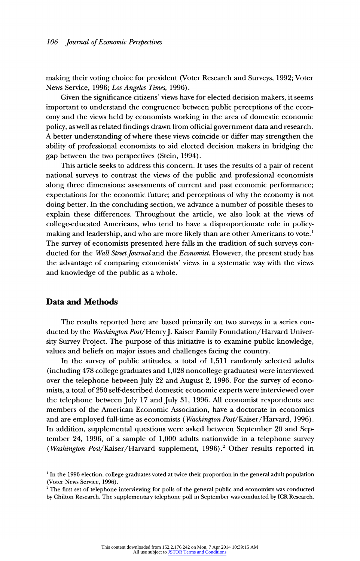**making their voting choice for president (Voter Research and Surveys, 1992; Voter News Service, 1996; Los Angeles Times, 1996).** 

**Given the significance citizens' views have for elected decision makers, it seems important to understand the congruence between public perceptions of the economy and the views held by economists working in the area of domestic economic policy, as well as related findings drawn from official government data and research. A better understanding of where these views coincide or differ may strengthen the ability of professional economists to aid elected decision makers in bridging the gap between the two perspectives (Stein, 1994).** 

**This article seeks to address this concern. It uses the results of a pair of recent national surveys to contrast the views of the public and professional economists along three dimensions: assessments of current and past economic performance; expectations for the economic future; and perceptions of why the economy is not doing better. In the concluding section, we advance a number of possible theses to explain these differences. Throughout the article, we also look at the views of college-educated Americans, who tend to have a disproportionate role in policymaking and leadership, and who are more likely than are other Americans to vote.' The survey of economists presented here falls in the tradition of such surveys con**ducted for the *Wall Street Journal* and the *Economist*. However, the present study has **the advantage of comparing economists' views in a systematic way with the views and knowledge of the public as a whole.** 

#### **Data and Methods**

**The results reported here are based primarily on two surveys in a series conducted by the Washington Post/HenryJ. Kaiser Family Foundation/Harvard University Survey Project. The purpose of this initiative is to examine public knowledge, values and beliefs on major issues and challenges facing the country.** 

**In the survey of public attitudes, a total of 1,511 randomly selected adults (including 478 college graduates and 1,028 noncollege graduates) were interviewed over the telephone between July 22 and August 2, 1996. For the survey of economists, a total of 250 self-described domestic economic experts were interviewed over the telephone between July 17 and July 31, 1996. All economist respondents are members of the American Economic Association, have a doctorate in economics and are employed full-time as economists (Washington Post/Kaiser/Harvard, 1996). In addition, supplemental questions were asked between September 20 and September 24, 1996, of a sample of 1,000 adults nationwide in a telephone survey (Washington Post/Kaiser/Harvard supplement, 1996).2 Other results reported in** 

**<sup>&#</sup>x27; In the 1996 election, college graduates voted at twice their proportion in the general adult population (Voter News Service, 1996).** 

**<sup>&#</sup>x27; The first set of telephone interviewing for polls of the general public and economists was conducted by Chilton Research. The supplementary telephone poll in September was conducted by ICR Research.**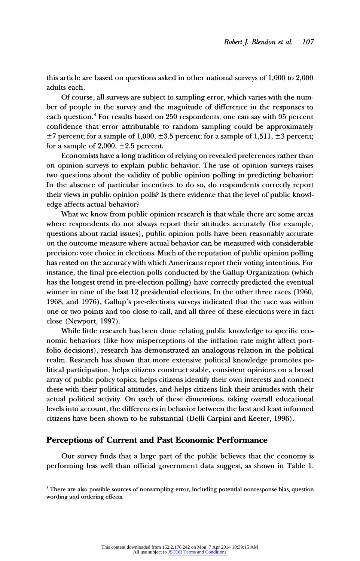**this article are based on questions asked in other national surveys of 1,000 to 2,000 adults each.** 

**Of course, all surveys are subject to sampling error, which varies with the number of people in the survey and the magnitude of difference in the responses to each question.3 For results based on 250 respondents, one can say with 95 percent confidence that error attributable to random sampling could be approximately**   $\pm$ 7 percent; for a sample of 1,000,  $\pm$ 3.5 percent; for a sample of 1,511,  $\pm$ 3 percent; for a sample of  $2,000, \pm 2.5$  percent.

**Economists have a long tradition of relying on revealed preferences rather than on opinion surveys to explain public behavior. The use of opinion surveys raises two questions about the validity of public opinion polling in predicting behavior: In the absence of particular incentives to do so, do respondents correctly report their views in public opinion polls? Is there evidence that the level of public knowledge affects actual behavior?** 

**What we know from public opinion research is that while there are some areas where respondents do not always report their attitudes accurately (for example, questions about racial issues), public opinion polls have been reasonably accurate on the outcome measure where actual behavior can be measured with considerable precision: vote choice in elections. Much of the reputation of public opinion polling has rested on the accuracy with which Americans report their voting intentions. For instance, the final pre-election polls conducted by the Gallup Organization (which has the longest trend in pre-election polling) have correctly predicted the eventual winner in nine of the last 12 presidential elections. In the other three races (1960, 1968, and 1976), Gallup's pre-elections surveys indicated that the race was within one or two points and too close to call, and all three of these elections were in fact close (Newport, 1997).** 

**While little research has been done relating public knowledge to specific economic behaviors (like how misperceptions of the inflation rate might affect portfolio decisions), research has demonstrated an analogous relation in the political realm. Research has shown that more extensive political knowledge promotes political participation, helps citizens construct stable, consistent opinions on a broad array of public policy topics, helps citizens identify their own interests and connect these with their political attitudes, and helps citizens link their attitudes with their actual political activity. On each of these dimensions, taking overall educational levels into account, the differences in behavior between the best and least informed citizens have been shown to be substantial (Delli Carpini and Keeter, 1996).** 

#### **Perceptions of Current and Past Economic Performance**

**Our survey finds that a large part of the public believes that the economy is performing less well than official government data suggest, as shown in Table 1.** 

**<sup>&#</sup>x27;There are also possible sources of nonsampling error, including potential nonresponse bias, question wording and ordering effects.**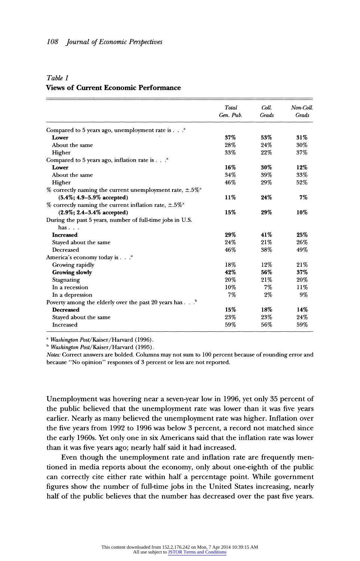|                                                                           | Total<br>Gen. Pub. | Coll.<br><b>Grads</b> | Non-Coll. |
|---------------------------------------------------------------------------|--------------------|-----------------------|-----------|
|                                                                           |                    |                       | Grads     |
| Compared to 5 years ago, unemployment rate is $\ldots$ .                  |                    |                       |           |
| Lower                                                                     | 37%                | 53%                   | 31%       |
| About the same                                                            | 28%                | 24%                   | 30%       |
| Higher                                                                    | 33%                | 22%                   | 37%       |
| Compared to 5 years ago, inflation rate is $\ldots$ .                     |                    |                       |           |
| Lower                                                                     | 16%                | 30%                   | 12%       |
| About the same                                                            | 34%                | 39%                   | 33%       |
| Higher                                                                    | 46%                | 29%                   | 52%       |
| % correctly naming the current unemployment rate, $\pm .5\%$ <sup>3</sup> |                    |                       |           |
| $(5.4\%; 4.9-5.9\%$ accepted)                                             | 11%                | 24%                   | 7%        |
| % correctly naming the current inflation rate, $\pm .5\%$ <sup>a</sup>    |                    |                       |           |
| $(2.9\%; 2.4-3.4\%$ accepted)                                             | 15%                | 29%                   | 10%       |
| During the past 5 years, number of full-time jobs in U.S.                 |                    |                       |           |
| $has \dots$                                                               |                    |                       |           |
| <b>Increased</b>                                                          | 29%                | 41%                   | 25%       |
| Stayed about the same                                                     | 24%                | 21%                   | 26%       |
| Decreased                                                                 | 46%                | 38%                   | 49%       |
| America's economy today is <sup>a</sup>                                   |                    |                       |           |
| Growing rapidly                                                           | 18%                | 12%                   | 21%       |
| <b>Growing slowly</b>                                                     | 42%                | 56%                   | 37%       |
| Stagnating                                                                | 20%                | 21%                   | 20%       |
| In a recession                                                            | 10%                | 7%                    | 11%       |
| In a depression                                                           | 7%                 | $2\%$                 | 9%        |
|                                                                           |                    |                       |           |
| <b>Decreased</b>                                                          | 15%                | 18%                   | 14%       |
| Stayed about the same                                                     | 23%                | 23%                   | 24%       |
| Increased                                                                 | 59%                | 56%                   | 59%       |
|                                                                           |                    |                       |           |

#### **Table 1 Views of Current Economic Performance**

**Washington Post/Kaiser/Harvard (1996).** 

**Washington Post/Kaiser/Harvard (1995).** 

**Notes: Correct answers are bolded. Columns may not sum to 100 percent because of rounding error and because "No opinion" responses of 3 percent or less are not reported.** 

**Unemployment was hovering near a seven-year low in 1996, yet only 35 percent of the public believed that the unemployment rate was lower than it was five years earlier. Nearly as many believed the unemployment rate was higher. Inflation over the five years from 1992 to 1996 was below 3 percent, a record not matched since the early 1960s. Yet only one in six Americans said that the inflation rate was lower than it was five years ago; nearly half said it had increased.** 

**Even though the unemployment rate and inflation rate are frequently mentioned in media reports about the economy, only about one-eighth of the public can correctly cite either rate within half a percentage point. While government figures show the number of full-time jobs in the United States increasing, nearly half of the public believes that the number has decreased over the past five years.**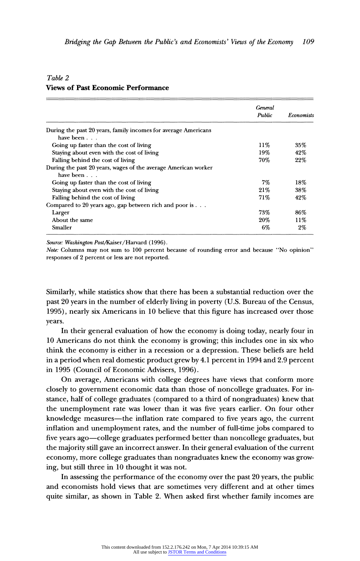|                                                                | General<br>Public | <i>Economists</i> |
|----------------------------------------------------------------|-------------------|-------------------|
|                                                                |                   |                   |
| During the past 20 years, family incomes for average Americans |                   |                   |
| have been $\ldots$                                             |                   |                   |
| Going up faster than the cost of living                        | 11%               | $35\%$            |
| Staying about even with the cost of living                     | 19%               | 42%               |
| Falling behind the cost of living                              | 70%               | $22\%$            |
| During the past 20 years, wages of the average American worker |                   |                   |
| have been                                                      |                   |                   |
| Going up faster than the cost of living                        | 7%                | $18\%$            |
| Staying about even with the cost of living                     | 21%               | 38%               |
| Falling behind the cost of living                              | 71%               | 42%               |
| Compared to 20 years ago, gap between rich and poor is         |                   |                   |
| Larger                                                         | 73%               | 86%               |
| About the same                                                 | 20%               | 11%               |
| Smaller                                                        | 6%                | $2\%$             |

#### **Table 2 Views of Past Economic Performance**

**Source: Washington Post/Kaiser/Harvard (1996).** 

**Note: Columns may not sum to 100 percent because of rounding error and because "No opinion" responses of 2 percent or less are not reported.** 

**Similarly, while statistics show that there has been a substantial reduction over the past 20 years in the number of elderly living in poverty (U.S. Bureau of the Census, 1995), nearly six Americans in 10 believe that this figure has increased over those years.** 

**In their general evaluation of how the economy is doing today, nearly four in 10 Americans do not think the economy is growing; this includes one in six who think the economy is either in a recession or a depression. These beliefs are held in a period when real domestic product grew by 4.1 percent in 1994 and 2.9 percent in 1995 (Council of Economic Advisers, 1996).** 

**On average, Americans with college degrees have views that conform more closely to government economic data than those of noncollege graduates. For instance, half of college graduates (compared to a third of nongraduates) knew that the unemployment rate was lower than it was five years earlier. On four other knowledge measures-the inflation rate compared to five years ago, the current inflation and unemployment rates, and the number of full-time jobs compared to five years ago-college graduates performed better than noncollege graduates, but the majority still gave an incorrect answer. In their general evaluation of the current economy, more college graduates than nongraduates knew the economy was growing, but still three in 10 thought it was not.** 

**In assessing the performance of the economy over the past 20 years, the public and economists hold views that are sometimes very different and at other times quite similar, as shown in Table 2. When asked first whether family incomes are**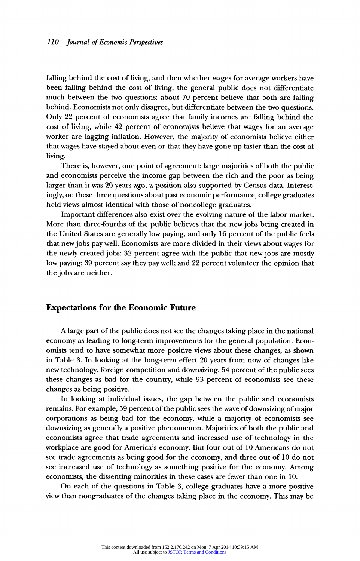**falling behind the cost of living, and then whether wages for average workers have been falling behind the cost of living, the general public does not differentiate much between the two questions: about 70 percent believe that both are falling behind. Economists not only disagree, but differentiate between the two questions. Only 22 percent of economists agree that family incomes are falling behind the cost of living, while 42 percent of economists believe that wages for an average worker are lagging inflation. However, the majority of economists believe either that wages have stayed about even or that they have gone up faster than the cost of living.** 

**There is, however, one point of agreement: large majorities of both the public and economists perceive the income gap between the rich and the poor as being larger than it was 20 years ago, a position also supported by Census data. Interestingly, on these three questions about past economic performance, college graduates held views almost identical with those of noncollege graduates.** 

**Important differences also exist over the evolving nature of the labor market. More than three-fourths of the public believes that the new jobs being created in the United States are generally low paying, and only 16 percent of the public feels that new jobs pay well. Economists are more divided in their views about wages for the newly created jobs: 32 percent agree with the public that new jobs are mostly low paying; 39 percent say they pay well; and 22 percent volunteer the opinion that the jobs are neither.** 

#### **Expectations for the Economic Future**

**A large part of the public does not see the changes taking place in the national economy as leading to long-term improvements for the general population. Economists tend to have somewhat more positive views about these changes, as shown in Table 3. In looking at the long-term effect 20 years from now of changes like new technology, foreign competition and downsizing, 54 percent of the public sees these changes as bad for the country, while 93 percent of economists see these changes as being positive.** 

**In looking at individual issues, the gap between the public and economists remains. For example, 59 percent of the public sees the wave of downsizing of major corporations as being bad for the economy, while a majority of economists see downsizing as generally a positive phenomenon. Majorities of both the public and economists agree that trade agreements and increased use of technology in the workplace are good for America's economy. But four out of 10 Americans do not see trade agreements as being good for the economy, and three out of 10 do not see increased use of technology as something positive for the economy. Among economists, the dissenting minorities in these cases are fewer than one in 10.** 

**On each of the questions in Table 3, college graduates have a more positive view than nongraduates of the changes taking place in the economy. This may be**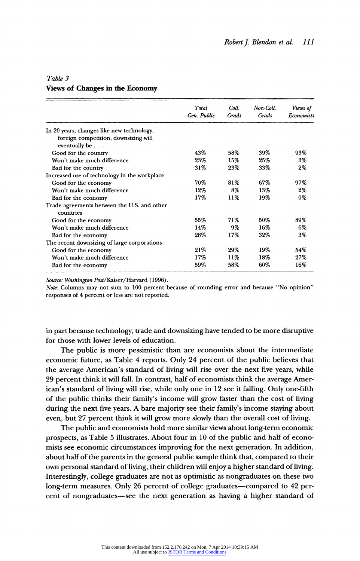|                                                                | Total<br>Gen. Public | Coll.<br>Crads | Non-Coll.<br><b>Grads</b> | Views of<br><b>Economists</b> |
|----------------------------------------------------------------|----------------------|----------------|---------------------------|-------------------------------|
|                                                                |                      |                |                           |                               |
| In 20 years, changes like new technology,                      |                      |                |                           |                               |
| foreign competition, downsizing will<br>eventually be $\ldots$ |                      |                |                           |                               |
|                                                                | 43%                  | 58%            | 39%                       | 93%                           |
| Good for the country                                           |                      |                |                           |                               |
| Won't make much difference                                     | 23%                  | 15%            | 25%                       | 3%                            |
| Bad for the country                                            | 31%                  | 23%            | 33%                       | 2%                            |
| Increased use of technology in the workplace                   |                      |                |                           |                               |
| Good for the economy                                           | 70%                  | 81%            | 67%                       | 97%                           |
| Won't make much difference                                     | 12%                  | 8%             | 13%                       | 2%                            |
| Bad for the economy                                            | 17%                  | 11%            | 19%                       | 0%                            |
| Trade agreements between the U.S. and other<br>countries       |                      |                |                           |                               |
| Good for the economy                                           | 55%                  | 71%            | 50%                       | 89%                           |
| Won't make much difference                                     | 14%                  | 9%             | 16%                       | 6%                            |
| Bad for the economy                                            | 28%                  | 17%            | 32%                       | 3%                            |
| The recent downsizing of large corporations                    |                      |                |                           |                               |
| Good for the economy                                           | 21%                  | 29%            | 19%                       | 54%                           |
| Won't make much difference                                     | 17%                  | 11%            | 18%                       | 27%                           |
| Bad for the economy                                            | 59%                  | 58%            | 60%                       | 16%                           |

#### **Table 3 Views of Changes in the Economy**

**Source: Washington Post/Kaiser/Harvard (1996).** 

**Note: Columns may not sum to 100 percent because of rounding error and because "No opinion" responses of 4 percent or less are not reported.** 

**in part because technology, trade and downsizing have tended to be more disruptive for those with lower levels of education.** 

**The public is more pessimistic than are economists about the intermediate economic future, as Table 4 reports. Only 24 percent of the public believes that the average American's standard of living will rise over the next five years, while 29 percent think it will fall. In contrast, half of economists think the average American's standard of living will rise, while only one in 12 see it falling. Only one-fifth of the public thinks their family's income will grow faster than the cost of living during the next five years. A bare majority see their family's income staying about even, but 27 percent think it will grow more slowly than the overall cost of living.** 

**The public and economists hold more similar views about long-term economic prospects, as Table 5 illustrates. About four in 10 of the public and half of economists see economic circumstances improving for the next generation. In addition, about half of the parents in the general public sample think that, compared to their own personal standard of living, their children will enjoy a higher standard of living. Interestingly, college graduates are not as optimistic as nongraduates on these two long-term measures. Only 26 percent of college graduates-compared to 42 per**cent of nongraduates-see the next generation as having a higher standard of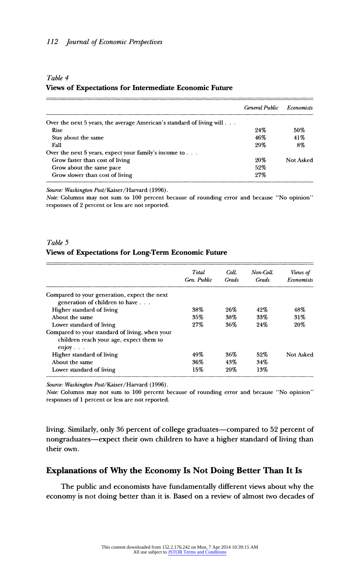| These of Expectations for Intermediate Leonomic Future                |                |                   |
|-----------------------------------------------------------------------|----------------|-------------------|
|                                                                       | General Public | <b>Economists</b> |
| Over the next 5 years, the average American's standard of living will |                |                   |
| Rise                                                                  | 24%            | 50%               |
| Stay about the same                                                   | 46%            | 41%               |
| Fall                                                                  | 29%            | 8%                |
| Over the next 5 years, expect your family's income to                 |                |                   |
| Grow faster than cost of living                                       | 20%            | Not Asked         |
| Grow about the same pace                                              | 52%            |                   |
| Grow slower than cost of living                                       | 27%            |                   |

#### **Table 4 Views of Expectations for Intermediate Economic Future**

**Source: Washington Post/Kaiser/Harvard (1996).** 

**Note: Columns may not sum to 100 percent because of rounding error and because "No opinion" responses of 2 percent or less are not reported.** 

#### **Table 5 Views of Expectations for Long-Term Economic Future**

|                                                                                | Total<br>Gen. Public | Coll.<br>Grads | Non-Coll.<br>Grads | Views of<br>Economists |
|--------------------------------------------------------------------------------|----------------------|----------------|--------------------|------------------------|
|                                                                                |                      |                |                    |                        |
| Compared to your generation, expect the next<br>generation of children to have |                      |                |                    |                        |
| Higher standard of living                                                      | 38%                  | 26%            | 42%                | 48%                    |
| About the same                                                                 | 35%                  | 38%            | 33%                | 31%                    |
| Lower standard of living                                                       | 27%                  | 36%            | 24%                | 20%                    |
| Compared to your standard of living, when your                                 |                      |                |                    |                        |
| children reach your age, expect them to<br>enjoy $\ldots$                      |                      |                |                    |                        |
| Higher standard of living                                                      | 49%                  | 36%            | 52%                | Not Asked              |
| About the same                                                                 | 36%                  | 43%            | 34%                |                        |
| Lower standard of living                                                       | 15%                  | 20%            | 13%                |                        |

**Source: Washington Post/Kaiser/Harvard (1996).** 

**Note: Columns may not sum to 100 percent because of rounding error and because "No opinion" responses of 1 percent or less are not reported.** 

**living. Similarly, only 36 percent of college graduates-compared to 52 percent of nongraduates-expect their own children to have a higher standard of living than their own.** 

#### **Explanations of Why the Economy Is Not Doing Better Than It Is**

**The public and economists have fundamentally different views about why the economy is not doing better than it is. Based on a review of almost two decades of**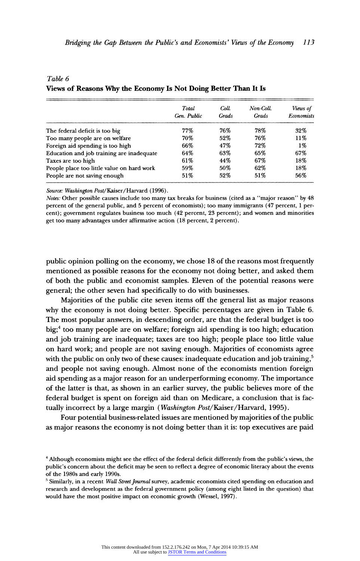| Coll.<br>Non-Coll.<br>Total<br>Views of<br>Gen. Public<br><b>Grads</b><br><b>Grads</b><br>78%<br>76%<br>32%<br>77%<br>The federal deficit is too big<br>11%<br>52%<br>76%<br>Too many people are on welfare<br>70%<br>47%<br>72%<br>$1\%$<br>66%<br>Foreign aid spending is too high<br>67%<br>63%<br>65%<br>Education and job training are inadequate<br>64%<br>67%<br>18%<br>61%<br>44%<br>Taxes are too high<br>18%<br>50%<br>62%<br>59%<br>People place too little value on hard work<br>56%<br>52%<br>51%<br>People are not saving enough<br>51% |  |  |                   |
|-------------------------------------------------------------------------------------------------------------------------------------------------------------------------------------------------------------------------------------------------------------------------------------------------------------------------------------------------------------------------------------------------------------------------------------------------------------------------------------------------------------------------------------------------------|--|--|-------------------|
|                                                                                                                                                                                                                                                                                                                                                                                                                                                                                                                                                       |  |  | <b>Economists</b> |
|                                                                                                                                                                                                                                                                                                                                                                                                                                                                                                                                                       |  |  |                   |
|                                                                                                                                                                                                                                                                                                                                                                                                                                                                                                                                                       |  |  |                   |
|                                                                                                                                                                                                                                                                                                                                                                                                                                                                                                                                                       |  |  |                   |
|                                                                                                                                                                                                                                                                                                                                                                                                                                                                                                                                                       |  |  |                   |
|                                                                                                                                                                                                                                                                                                                                                                                                                                                                                                                                                       |  |  |                   |
|                                                                                                                                                                                                                                                                                                                                                                                                                                                                                                                                                       |  |  |                   |
|                                                                                                                                                                                                                                                                                                                                                                                                                                                                                                                                                       |  |  |                   |

#### **Table 6**  Views of Reasons Why the Economy Is Not Doing Better Than It Is

**Source: Washington Post/Kaiser/Harvard (1996).** 

**Notes: Other possible causes include too many tax breaks for business (cited as a "major reason" by 48 percent of the general public, and 5 percent of economists); too many immigrants (47 percent, 1 percent); government regulates business too much (42 percent, 23 percent); and women and minorities get too many advantages under affirmative action (18 percent, 2 percent).** 

**public opinion polling on the economy, we chose 18 of the reasons most frequently mentioned as possible reasons for the economy not doing better, and asked them of both the public and economist samples. Eleven of the potential reasons were general; the other seven had specifically to do with businesses.** 

**Majorities of the public cite seven items off the general list as major reasons why the economy is not doing better. Specific percentages are given in Table 6. The most popular answers, in descending order, are that the federal budget is too big;4 too many people are on welfare; foreign aid spending is too high; education and job training are inadequate; taxes are too high; people place too little value on hard work; and people are not saving enough. Majorities of economists agree with the public on only two of these causes: inadequate education and job training,5 and people not saving enough. Almost none of the economists mention foreign aid spending as a major reason for an underperforming economy. The importance of the latter is that, as shown in an earlier survey, the public believes more of the federal budget is spent on foreign aid than on Medicare, a conclusion that is factually incorrect by a large margin (Washington Post/Kaiser/Harvard, 1995).** 

**Four potential business-related issues are mentioned by majorities of the public as major reasons the economy is not doing better than it is: top executives are paid** 

**<sup>4</sup>Although economists might see the effect of the federal deficit differently from the public's views, the public's concern about the deficit may be seen to reflect a degree of economic literacy about the events of the 1980s and early 1990s.** 

**<sup>5</sup>Similarly, in a recent Wall Street Journal survey, academic economists cited spending on education and research and development as the federal government policy (among eight listed in the question) that would have the most positive impact on economic growth (Wessel, 1997).**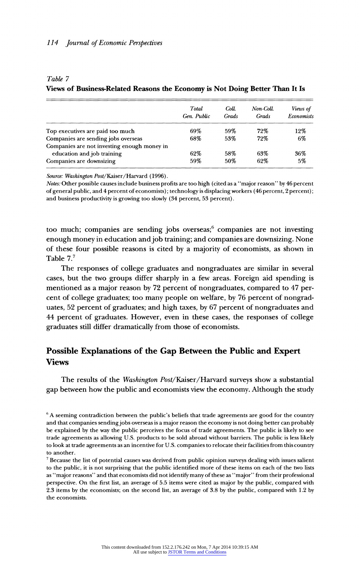**Table 7** 

|                                                                           | Total<br>Gen. Public | Coll.<br>Grads | Non-Coll.<br><b>Grads</b> | Views of<br><b>Economists</b> |
|---------------------------------------------------------------------------|----------------------|----------------|---------------------------|-------------------------------|
| Top executives are paid too much                                          | 69%                  | 59%            | 72%                       | 12%                           |
| Companies are sending jobs overseas                                       | 68%                  | 53%            | 72%                       | 6%                            |
| Companies are not investing enough money in<br>education and job training | 62%                  | 58%            | 63%                       | 36%                           |
| Companies are downsizing                                                  | 59%                  | 50%            | 62%                       | 5%                            |

# **Views of Business-Related Reasons the Economy is Not Doing Better Than It Is**

**Source: Washington Post/Kaiser/Harvard (1996).** 

**Notes: Other possible causes include business profits are too high (cited as a "major reason" by 46 percent of general public, and 4 percent of economists); technology is displacing workers (46 percent, 2 percent); and business productivity is growing too slowly (34 percent, 53 percent).** 

too much; companies are sending jobs overseas;<sup>6</sup> companies are not investing **enough money in education and job training; and companies are downsizing. None of these four possible reasons is cited by a majority of economists, as shown in Table 7.7** 

**The responses of college graduates and nongraduates are similar in several cases, but the two groups differ sharply in a few areas. Foreign aid spending is mentioned as a major reason by 72 percent of nongraduates, compared to 47 percent of college graduates; too many people on welfare, by 76 percent of nongraduates, 52 percent of graduates; and high taxes, by 67 percent of nongraduates and 44 percent of graduates. However, even in these cases, the responses of college graduates still differ dramatically from those of economists.** 

## **Possible Explanations of the Gap Between the Public and Expert Views**

**The results of the Washington Post/Kaiser/Harvard surveys show a substantial gap between how the public and economists view the economy. Although the study** 

**<sup>&#</sup>x27;A seeming contradiction between the public's beliefs that trade agreements are good for the country and that companies sendingjobs overseas is a major reason the economy is not doing better can probably be explained by the way the public perceives the focus of trade agreements. The public is likely to see trade agreements as allowing U.S. products to be sold abroad without barriers. The public is less likely to look at trade agreements as an incentive for U.S. companies to relocate their facilities from this country to another.** 

**<sup>7</sup>Because the list of potential causes was derived from public opinion surveys dealing with issues salient to the public, it is not surprising that the public identified more of these items on each of the two lists as "major reasons" and that economists did not identify many of these as "major" from their professional perspective. On the first list, an average of 5.5 items were cited as major by the public, compared with 2.3 items by the economists; on the second list, an average of 3.8 by the public, compared with 1.2 by the economists.**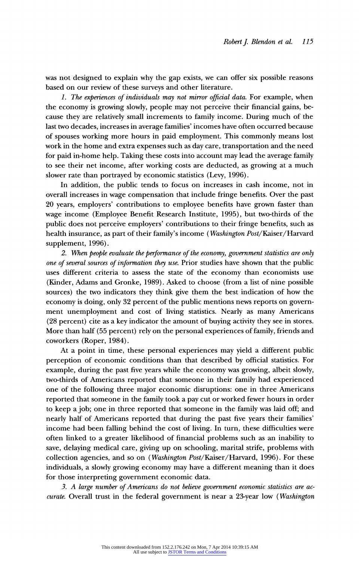**was not designed to explain why the gap exists, we can offer six possible reasons based on our review of these surveys and other literature.** 

**1. The experiences of individuals may not mirror official data. For example, when the economy is growing slowly, people may not perceive their financial gains, because they are relatively small increments to family income. During much of the last two decades, increases in average families' incomes have often occurred because of spouses working more hours in paid employment. This commonly means lost work in the home and extra expenses such as day care, transportation and the need for paid in-home help. Taking these costs into account may lead the average family to see their net income, after working costs are deducted, as growing at a much slower rate than portrayed by economic statistics (Levy, 1996).** 

**In addition, the public tends to focus on increases in cash income, not in overall increases in wage compensation that include fringe benefits. Over the past 20 years, employers' contributions to employee benefits have grown faster than wage income (Employee Benefit Research Institute, 1995), but two-thirds of the public does not perceive employers' contributions to their fringe benefits, such as health insurance, as part of their family's income (Washington Post/Kaiser/Harvard supplement, 1996).** 

**2. When people evaluate the performance of the economy, government statistics are only one of several sources of information they use. Prior studies have shown that the public uses different criteria to assess the state of the economy than economists use (Kinder, Adams and Gronke, 1989). Asked to choose (from a list of nine possible sources) the two indicators they think give them the best indication of how the economy is doing, only 32 percent of the public mentions news reports on government unemployment and cost of living statistics. Nearly as many Americans (28 percent) cite as a key indicator the amount of buying activity they see in stores. More than half (55 percent) rely on the personal experiences of family, friends and coworkers (Roper, 1984).** 

**At a point in time, these personal experiences may yield a different public perception of economic conditions than that described by official statistics. For example, during the past five years while the economy was growing, albeit slowly, two-thirds of Americans reported that someone in their family had experienced one of the following three major economic disruptions: one in three Americans reported that someone in the family took a pay cut or worked fewer hours in order to keep a job; one in three reported that someone in the family was laid off; and nearly half of Americans reported that during the past five years their families' income had been falling behind the cost of living. In turn, these difficulties were often linked to a greater likelihood of financial problems such as an inability to save, delaying medical care, giving up on schooling, marital strife, problems with collection agencies, and so on (Washington Post/Kaiser/Harvard, 1996). For these individuals, a slowly growing economy may have a different meaning than it does for those interpreting government economic data.** 

**3. A large number of Americans do not believe government economic statistics are accurate. Overall trust in the federal government is near a 23-year low (Washington**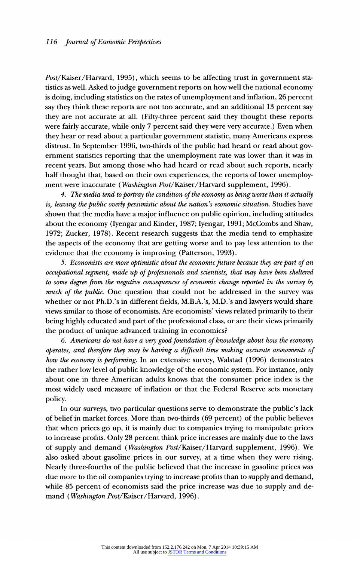**Post/Kaiser/Harvard, 1995), which seems to be affecting trust in government statistics as well. Asked to judge government reports on how well the national economy is doing, including statistics on the rates of unemployment and inflation, 26 percent say they think these reports are not too accurate, and an additional 13 percent say they are not accurate at all. (Fifty-three percent said they thought these reports were fairly accurate, while only 7 percent said they were very accurate.) Even when they hear or read about a particular government statistic, many Americans express distrust. In September 1996, two-thirds of the public had heard or read about government statistics reporting that the unemployment rate was lower than it was in recent years. But among those who had heard or read about such reports, nearly half thought that, based on their own experiences, the reports of lower unemployment were inaccurate (Washington Post/Kaiser/Harvard supplement, 1996).** 

**4. The media tend to portray the condition of the economy as being worse than it actually is, leaving the public overly pessimistic about the nation's economic situation. Studies have shown that the media have a major influence on public opinion, including attitudes about the economy (Iyengar and Kinder, 1987; Iyengar, 1991; McCombs and Shaw, 1972; Zucker, 1978). Recent research suggests that the media tend to emphasize the aspects of the economy that are getting worse and to pay less attention to the evidence that the economy is improving (Patterson, 1993).** 

**5. Economists are more optimistic about the economic future because they are part of an occupational segment, made up of professionals and scientists, that may have been sheltered to some degree from the negative consequences of economic change reported in the survey by much of the public. One question that could not be addressed in the survey was whether or not Ph.D.'s in different fields, M.B.A.'s, M.D.'s and lawyers would share views similar to those of economists. Are economists' views related primarily to their being highly educated and part of the professional class, or are their views primarily the product of unique advanced training in economics?** 

**6. Americans do not have a very good foundation of knowledge about how the economy operates, and therefore they may be having a difficult time making accurate assessments of how the economy is performing. In an extensive survey, Walstad (1996) demonstrates the rather low level of public knowledge of the economic system. For instance, only about one in three American adults knows that the consumer price index is the most widely used measure of inflation or that the Federal Reserve sets monetary policy.** 

**In our surveys, two particular questions serve to demonstrate the public's lack of belief in market forces. More than two-thirds (69 percent) of the public believes that when prices go up, it is mainly due to companies trying to manipulate prices to increase profits. Only 28 percent think price increases are mainly due to the laws of supply and demand (Washington Post/Kaiser/Harvard supplement, 1996). We also asked about gasoline prices in our survey, at a time when they were rising. Nearly three-fourths of the public believed that the increase in gasoline prices was due more to the oil companies trying to increase profits than to supply and demand, while 85 percent of economists said the price increase was due to supply and demand (Washington Post/Kaiser/Harvard, 1996).**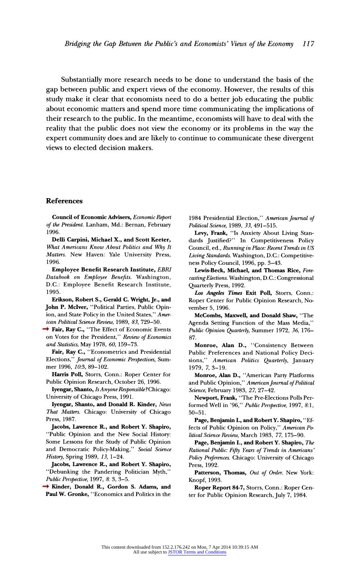**Substantially more research needs to be done to understand the basis of the gap between public and expert views of the economy. However, the results of this study make it clear that economists need to do a better job educating the public about economic matters and spend more time communicating the implications of their research to the public. In the meantime, economists will have to deal with the reality that the public does not view the economy or its problems in the way the expert community does and are likely to continue to communicate these divergent views to elected decision makers.** 

#### **References**

**Council of Economic Advisers, Economic Report of the President. Lanham, Md.: Bernan, February 1996.** 

**Delli Carpini, Michael X., and Scott Keeter, What Americans Know About Politics and Why It Matters. New Haven: Yale University Press, 1996.** 

**Employee Benefit Research Institute, EBRI Databook on Employee Benefits. Washington, D.C.: Employee Benefit Research Institute, 1995.** 

**Erikson, Robert S., Gerald C. Wright, Jr., and John P. McIver, "Political Parties, Public Opinion, and State Policy in the United States," American Political Science Review, 1989, 83, 729-50.** 

**Fair, Ray C., "The Effect of Economic Events on Votes for the President," Review of Economics and Statistics, May 1978, 60, 159-73.** 

**Fair, Ray C., "Econometrics and Presidential Elections," Journal of Economic Perspectives, Summer 1996, 10:3, 89-102.** 

**Harris Poll, Storrs, Conn.: Roper Center for Public Opinion Research, October 26, 1996.** 

**Iyengar, Shanto, IsAnyoneResponsible?Chicago: University of Chicago Press, 1991.** 

**Iyengar, Shanto, and Donald R. Kinder, News That Matters. Chicago: University of Chicago Press, 1987.** 

**Jacobs, Lawrence R., and Robert Y. Shapiro, "Public Opinion and the New Social History: Some Lessons for the Study of Public Opinion and Democratic Policy-Making," Social Science Histoy, Spring 1989, 13, 1-24.** 

**Jacobs, Lawrence R., and Robert Y. Shapiro, "Debunking the Pandering Politician Myth," PublicPerspective, 1997, 8: 3, 3-5.** 

**Kinder, Donald R., Gordon S. Adams, and Paul W. Gronke, "Economics and Politics in the**  **1984 Presidential Election," American Journal of Political Science, 1989, 33, 491-515.** 

**Levy, Frank, "Is Anxiety About Living Standards Justified?" In Competitiveness Policy Council, ed., Running in Place: Recent Trends in US Living Standards. Washington, D.C.: Competitiveness Policy Council, 1996, pp. 3-43.** 

**Lewis-Beck, Michael, and Thomas Rice, ForecastingElections. Washington, D.C.: Congressional Quarterly Press, 1992.** 

**Los Angeles Times Exit Poll, Storrs, Conn.: Roper Center for Public Opinion Research, November 5, 1996.** 

**McCombs, Maxwell, and Donald Shaw, "The Agenda Setting Function of the Mass Media," Public Opinion Quarterly, Summer 1972, 36, 176- 87.** 

**Monroe, Alan D., "Consistency Between Public Preferences and National Policy Decisions," American Politics Quarterly, January 1979, 7, 3-19.** 

**Monroe, Alan D., "American Party Platforms and Public Opinion," American Journal of Political Science, February 1983, 27, 27-42.** 

**Newport, Frank, "The Pre-Elections Polls Performed Well in '96," Public Perspective, 1997, 8:1, 50-51.** 

**Page, Benjamin I., and Robert Y. Shapiro, "Effects of Public Opinion on Policy," American Political Science Review, March 1983, 77, 175-90.** 

**Page, Benjamin I., and Robert Y. Shapiro, The Rational Public: Fifty Years of Trends in Americans' Policy Preferences. Chicago: University of Chicago Press, 1992.** 

**Patterson, Thomas, Out of Order. New York: Knopf, 1993.** 

**Roper Report 84-7, Storrs, Conn.: Roper Center for Public Opinion Research, July 7, 1984.**